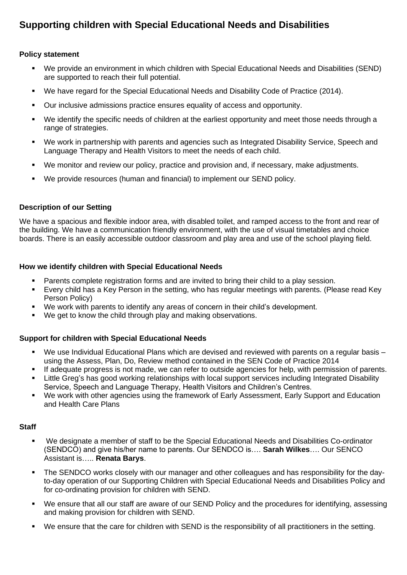# **Supporting children with Special Educational Needs and Disabilities**

# **Policy statement**

- We provide an environment in which children with Special Educational Needs and Disabilities (SEND) are supported to reach their full potential.
- We have regard for the Special Educational Needs and Disability Code of Practice (2014).
- Our inclusive admissions practice ensures equality of access and opportunity.
- We identify the specific needs of children at the earliest opportunity and meet those needs through a range of strategies.
- We work in partnership with parents and agencies such as Integrated Disability Service, Speech and Language Therapy and Health Visitors to meet the needs of each child.
- We monitor and review our policy, practice and provision and, if necessary, make adjustments.
- We provide resources (human and financial) to implement our SEND policy.

#### **Description of our Setting**

We have a spacious and flexible indoor area, with disabled toilet, and ramped access to the front and rear of the building. We have a communication friendly environment, with the use of visual timetables and choice boards. There is an easily accessible outdoor classroom and play area and use of the school playing field.

# **How we identify children with Special Educational Needs**

- Parents complete registration forms and are invited to bring their child to a play session.
- Every child has a Key Person in the setting, who has regular meetings with parents. (Please read Key Person Policy)
- We work with parents to identify any areas of concern in their child's development.
- We get to know the child through play and making observations.

#### **Support for children with Special Educational Needs**

- We use Individual Educational Plans which are devised and reviewed with parents on a regular basis using the Assess, Plan, Do, Review method contained in the SEN Code of Practice 2014
- If adequate progress is not made, we can refer to outside agencies for help, with permission of parents.
- Little Greg's has good working relationships with local support services including Integrated Disability Service, Speech and Language Therapy, Health Visitors and Children's Centres.
- We work with other agencies using the framework of Early Assessment, Early Support and Education and Health Care Plans

#### **Staff**

- We designate a member of staff to be the Special Educational Needs and Disabilities Co-ordinator (SENDCO) and give his/her name to parents. Our SENDCO is…. **Sarah Wilkes**…. Our SENCO Assistant is….. **Renata Barys**.
- **•** The SENDCO works closely with our manager and other colleagues and has responsibility for the dayto-day operation of our Supporting Children with Special Educational Needs and Disabilities Policy and for co-ordinating provision for children with SEND.
- We ensure that all our staff are aware of our SEND Policy and the procedures for identifying, assessing and making provision for children with SEND.
- We ensure that the care for children with SEND is the responsibility of all practitioners in the setting.